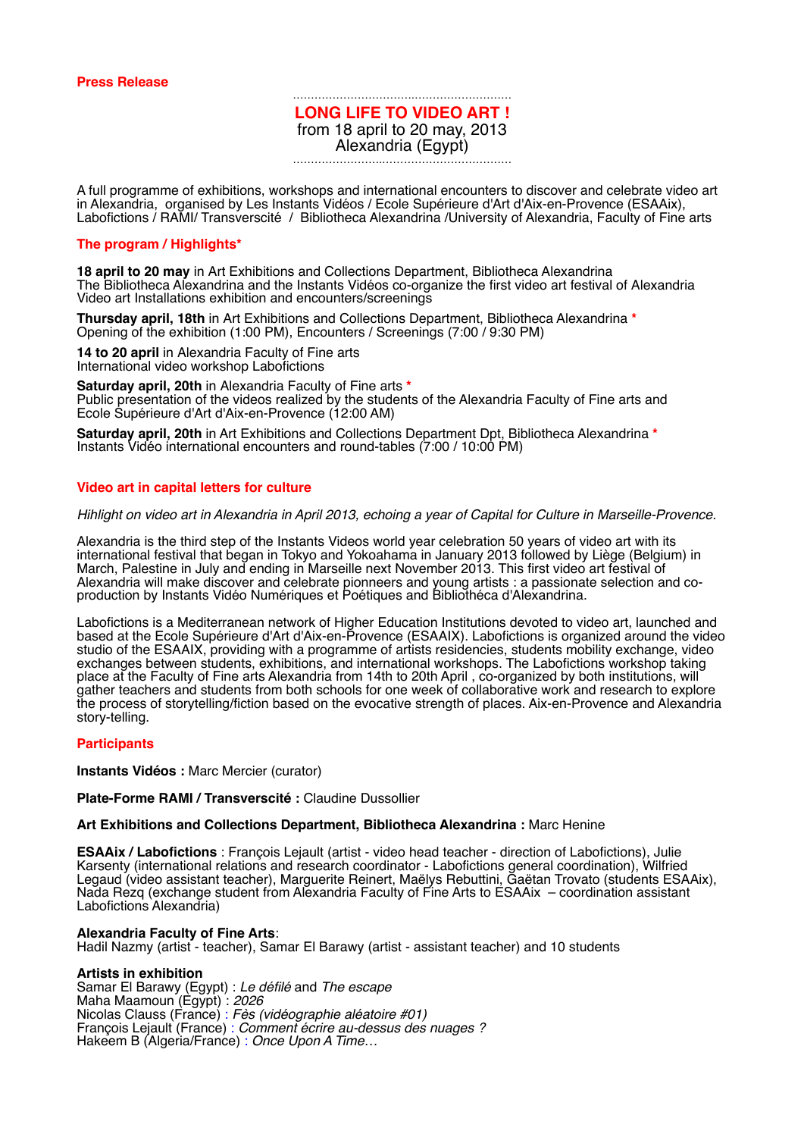# **LONG LIFE TO VIDEO ART !** from 18 april to 20 may, 2013 Alexandria (Egypt) …………………….………………………………

…………………………….………………………

A full programme of exhibitions, workshops and international encounters to discover and celebrate video art in Alexandria, organised by Les Instants Vidéos / Ecole Supérieure d'Art d'Aix-en-Provence (ESAAix), Labofictions / RAMI/ Transverscité / Bibliotheca Alexandrina /University of Alexandria, Faculty of Fine arts

#### **The program / Highlights\***

**18 april to 20 may** in Art Exhibitions and Collections Department, Bibliotheca Alexandrina The Bibliotheca Alexandrina and the Instants Vidéos co-organize the first video art festival of Alexandria Video art Installations exhibition and encounters/screenings

**Thursday april, 18th** in Art Exhibitions and Collections Department, Bibliotheca Alexandrina **\*** Opening of the exhibition (1:00 PM), Encounters / Screenings (7:00 / 9:30 PM)

**14 to 20 april** in Alexandria Faculty of Fine arts International video workshop Labofictions

**Saturday april, 20th** in Alexandria Faculty of Fine arts **\*** Public presentation of the videos realized by the students of the Alexandria Faculty of Fine arts and Ecole Supérieure d'Art d'Aix-en-Provence (12:00 AM)

**Saturday april, 20th** in Art Exhibitions and Collections Department Dpt, Bibliotheca Alexandrina **\*** Instants Vidéo international encounters and round-tables (7:00 / 10:00 PM)

### **Video art in capital letters for culture**

#### *Hihlight on video art in Alexandria in April 2013, echoing a year of Capital for Culture in Marseille-Provence.*

Alexandria is the third step of the Instants Videos world year celebration 50 years of video art with its international festival that began in Tokyo and Yokoahama in January 2013 followed by Liège (Belgium) in March, Palestine in July and ending in Marseille next November 2013. This first video art festival of Alexandria will make discover and celebrate pionneers and young artists : a passionate selection and coproduction by Instants Vidéo Numériques et Poétiques and Bibliothéca d'Alexandrina.

Labofictions is a Mediterranean network of Higher Education Institutions devoted to video art, launched and based at the Ecole Supérieure d'Art d'Aix-en-Provence (ESAAIX). Labofictions is organized around the video studio of the ESAAIX, providing with a programme of artists residencies, students mobility exchange, video exchanges between students, exhibitions, and international workshops. The Labofictions workshop taking place at the Faculty of Fine arts Alexandria from 14th to 20th April , co-organized by both institutions, will gather teachers and students from both schools for one week of collaborative work and research to explore the process of storytelling/fiction based on the evocative strength of places. Aix-en-Provence and Alexandria story-telling.

#### **Participants**

**Instants Vidéos :** Marc Mercier (curator)

#### **Plate-Forme RAMI / Transverscité :** Claudine Dussollier

#### **Art Exhibitions and Collections Department, Bibliotheca Alexandrina :** Marc Henine

**ESAAix / Labofictions** : François Lejault (artist - video head teacher - direction of Labofictions), Julie Karsenty (international relations and research coordinator - Labofictions general coordination), Wilfried Legaud (video assistant teacher), Marguerite Reinert, Maëlys Rebuttini, Gaëtan Trovato (students ESAAix), Nada Rezq (exchange student from Alexandria Faculty of Fine Arts to ESAAix – coordination assistant Labofictions Alexandria)

#### **Alexandria Faculty of Fine Arts**:

Hadil Nazmy (artist - teacher), Samar El Barawy (artist - assistant teacher) and 10 students

#### **Artists in exhibition**

Samar El Barawy (Egypt) : *Le défilé* and *The escape* Maha Maamoun (Egypt) : *2026* Nicolas Clauss (France) : *Fès (vidéographie aléatoire #01)* François Lejault (France) : *Comment écrire au-dessus des nuages ?* Hakeem B (Algeria/France) : *Once Upon A Time…*